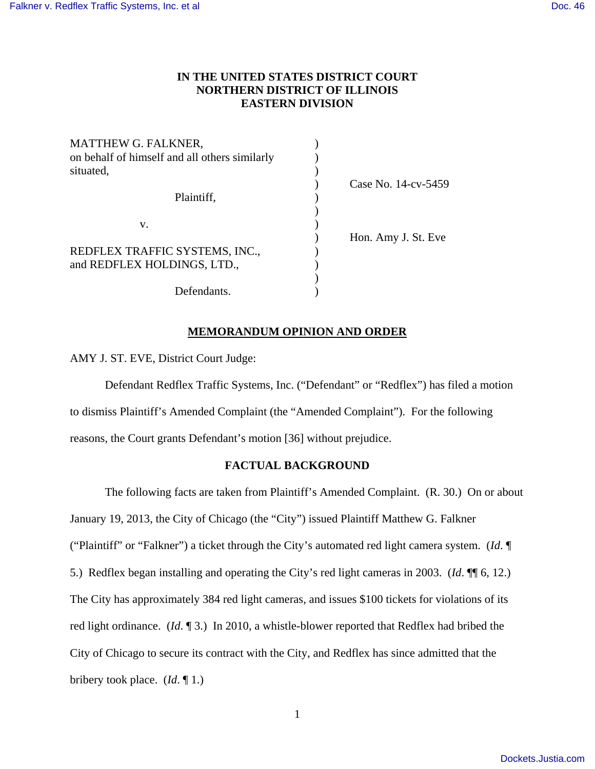# **IN THE UNITED STATES DISTRICT COURT NORTHERN DISTRICT OF ILLINOIS EASTERN DIVISION**

| Case No. 14-cv-5459 |
|---------------------|
|                     |
|                     |
|                     |
| Hon. Amy J. St. Eve |
|                     |
|                     |
|                     |
|                     |
|                     |

# **MEMORANDUM OPINION AND ORDER**

AMY J. ST. EVE, District Court Judge:

 Defendant Redflex Traffic Systems, Inc. ("Defendant" or "Redflex") has filed a motion to dismiss Plaintiff's Amended Complaint (the "Amended Complaint"). For the following reasons, the Court grants Defendant's motion [36] without prejudice.

# **FACTUAL BACKGROUND**

 The following facts are taken from Plaintiff's Amended Complaint. (R. 30.) On or about January 19, 2013, the City of Chicago (the "City") issued Plaintiff Matthew G. Falkner ("Plaintiff" or "Falkner") a ticket through the City's automated red light camera system. (*Id*. ¶ 5.) Redflex began installing and operating the City's red light cameras in 2003. (*Id*. ¶¶ 6, 12.) The City has approximately 384 red light cameras, and issues \$100 tickets for violations of its red light ordinance. (*Id*. ¶ 3.) In 2010, a whistle-blower reported that Redflex had bribed the City of Chicago to secure its contract with the City, and Redflex has since admitted that the bribery took place. (*Id*. ¶ 1.)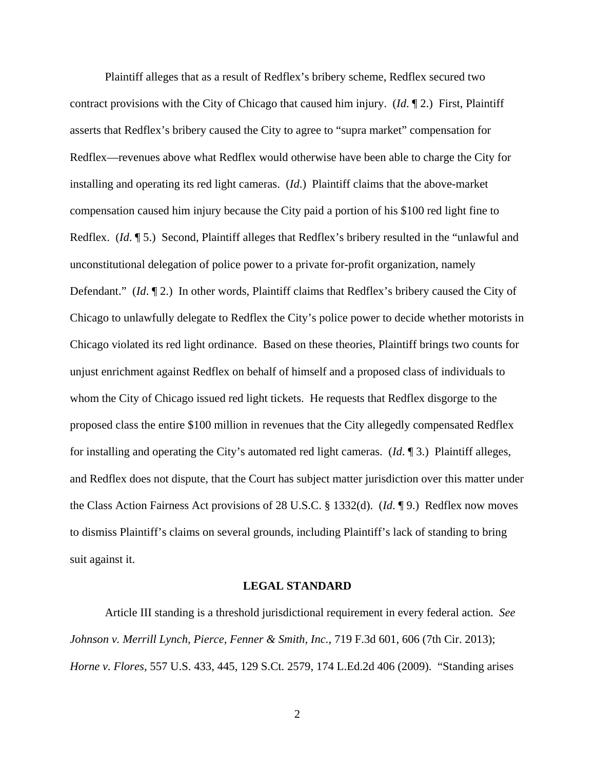Plaintiff alleges that as a result of Redflex's bribery scheme, Redflex secured two contract provisions with the City of Chicago that caused him injury. (*Id*. ¶ 2.) First, Plaintiff asserts that Redflex's bribery caused the City to agree to "supra market" compensation for Redflex—revenues above what Redflex would otherwise have been able to charge the City for installing and operating its red light cameras. (*Id*.) Plaintiff claims that the above-market compensation caused him injury because the City paid a portion of his \$100 red light fine to Redflex. (*Id*. ¶ 5.) Second, Plaintiff alleges that Redflex's bribery resulted in the "unlawful and unconstitutional delegation of police power to a private for-profit organization, namely Defendant." (*Id*. ¶ 2.) In other words, Plaintiff claims that Redflex's bribery caused the City of Chicago to unlawfully delegate to Redflex the City's police power to decide whether motorists in Chicago violated its red light ordinance. Based on these theories, Plaintiff brings two counts for unjust enrichment against Redflex on behalf of himself and a proposed class of individuals to whom the City of Chicago issued red light tickets. He requests that Redflex disgorge to the proposed class the entire \$100 million in revenues that the City allegedly compensated Redflex for installing and operating the City's automated red light cameras. (*Id*. ¶ 3.) Plaintiff alleges, and Redflex does not dispute, that the Court has subject matter jurisdiction over this matter under the Class Action Fairness Act provisions of 28 U.S.C. § 1332(d). (*Id*. ¶ 9.) Redflex now moves to dismiss Plaintiff's claims on several grounds, including Plaintiff's lack of standing to bring suit against it.

#### **LEGAL STANDARD**

 Article III standing is a threshold jurisdictional requirement in every federal action. *See Johnson v. Merrill Lynch, Pierce, Fenner & Smith, Inc.*, 719 F.3d 601, 606 (7th Cir. 2013); *Horne v. Flores,* 557 U.S. 433, 445, 129 S.Ct. 2579, 174 L.Ed.2d 406 (2009). "Standing arises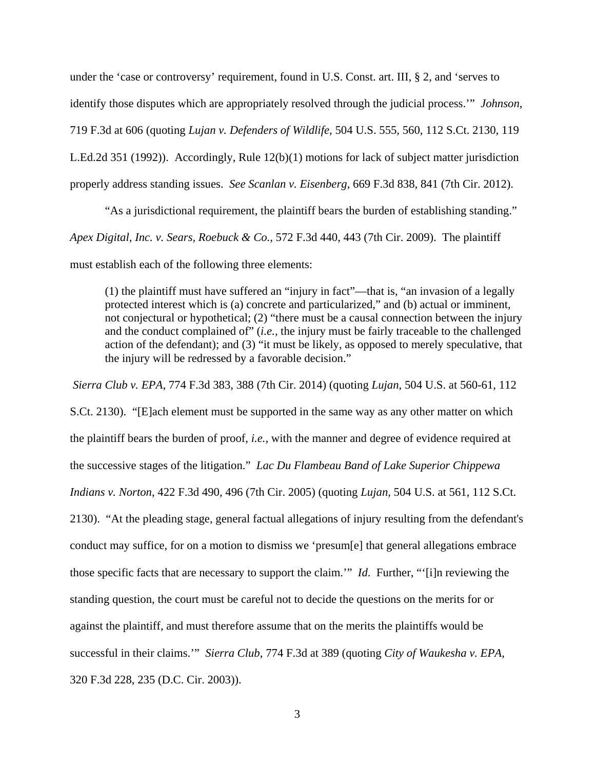under the 'case or controversy' requirement, found in U.S. Const. art. III, § 2, and 'serves to identify those disputes which are appropriately resolved through the judicial process.'" *Johnson*, 719 F.3d at 606 (quoting *Lujan v. Defenders of Wildlife*, 504 U.S. 555, 560, 112 S.Ct. 2130, 119 L.Ed.2d 351 (1992)). Accordingly, Rule 12(b)(1) motions for lack of subject matter jurisdiction properly address standing issues. *See Scanlan v. Eisenberg*, 669 F.3d 838, 841 (7th Cir. 2012).

 "As a jurisdictional requirement, the plaintiff bears the burden of establishing standing." *Apex Digital, Inc. v. Sears, Roebuck & Co.*, 572 F.3d 440, 443 (7th Cir. 2009). The plaintiff must establish each of the following three elements:

(1) the plaintiff must have suffered an "injury in fact"—that is, "an invasion of a legally protected interest which is (a) concrete and particularized," and (b) actual or imminent, not conjectural or hypothetical; (2) "there must be a causal connection between the injury and the conduct complained of" (*i.e.,* the injury must be fairly traceable to the challenged action of the defendant); and (3) "it must be likely, as opposed to merely speculative, that the injury will be redressed by a favorable decision."

*Sierra Club v. EPA*, 774 F.3d 383, 388 (7th Cir. 2014) (quoting *Lujan*, 504 U.S. at 560-61, 112

S.Ct. 2130). "[E]ach element must be supported in the same way as any other matter on which the plaintiff bears the burden of proof, *i.e.,* with the manner and degree of evidence required at the successive stages of the litigation." *Lac Du Flambeau Band of Lake Superior Chippewa Indians v. Norton*, 422 F.3d 490, 496 (7th Cir. 2005) (quoting *Lujan*, 504 U.S. at 561, 112 S.Ct. 2130). "At the pleading stage, general factual allegations of injury resulting from the defendant's conduct may suffice, for on a motion to dismiss we 'presum[e] that general allegations embrace those specific facts that are necessary to support the claim.'" *Id*. Further, "'[i]n reviewing the standing question, the court must be careful not to decide the questions on the merits for or against the plaintiff, and must therefore assume that on the merits the plaintiffs would be successful in their claims.'" *Sierra Club*, 774 F.3d at 389 (quoting *City of Waukesha v. EPA*, 320 F.3d 228, 235 (D.C. Cir. 2003)).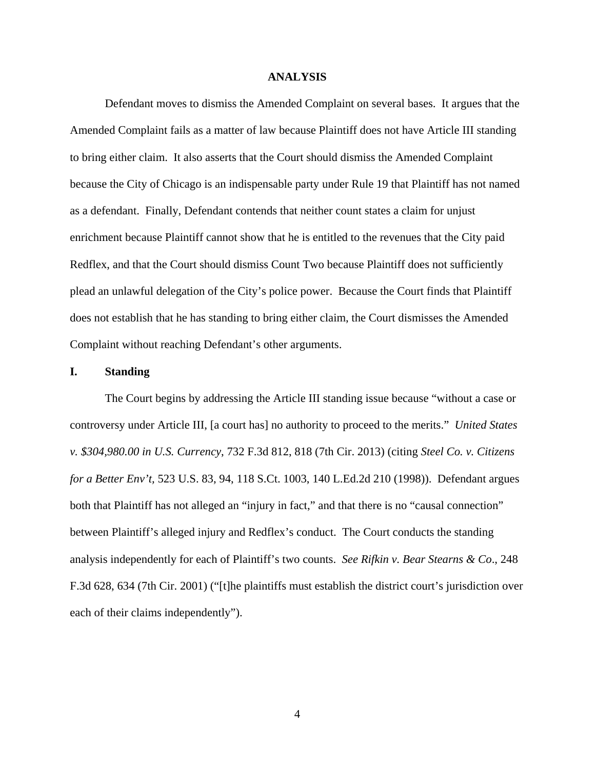### **ANALYSIS**

 Defendant moves to dismiss the Amended Complaint on several bases. It argues that the Amended Complaint fails as a matter of law because Plaintiff does not have Article III standing to bring either claim. It also asserts that the Court should dismiss the Amended Complaint because the City of Chicago is an indispensable party under Rule 19 that Plaintiff has not named as a defendant. Finally, Defendant contends that neither count states a claim for unjust enrichment because Plaintiff cannot show that he is entitled to the revenues that the City paid Redflex, and that the Court should dismiss Count Two because Plaintiff does not sufficiently plead an unlawful delegation of the City's police power. Because the Court finds that Plaintiff does not establish that he has standing to bring either claim, the Court dismisses the Amended Complaint without reaching Defendant's other arguments.

#### **I. Standing**

The Court begins by addressing the Article III standing issue because "without a case or controversy under Article III, [a court has] no authority to proceed to the merits." *United States v. \$304,980.00 in U.S. Currency*, 732 F.3d 812, 818 (7th Cir. 2013) (citing *Steel Co. v. Citizens for a Better Env't,* 523 U.S. 83, 94, 118 S.Ct. 1003, 140 L.Ed.2d 210 (1998)). Defendant argues both that Plaintiff has not alleged an "injury in fact," and that there is no "causal connection" between Plaintiff's alleged injury and Redflex's conduct. The Court conducts the standing analysis independently for each of Plaintiff's two counts. *See Rifkin v. Bear Stearns & Co*., 248 F.3d 628, 634 (7th Cir. 2001) ("[t]he plaintiffs must establish the district court's jurisdiction over each of their claims independently").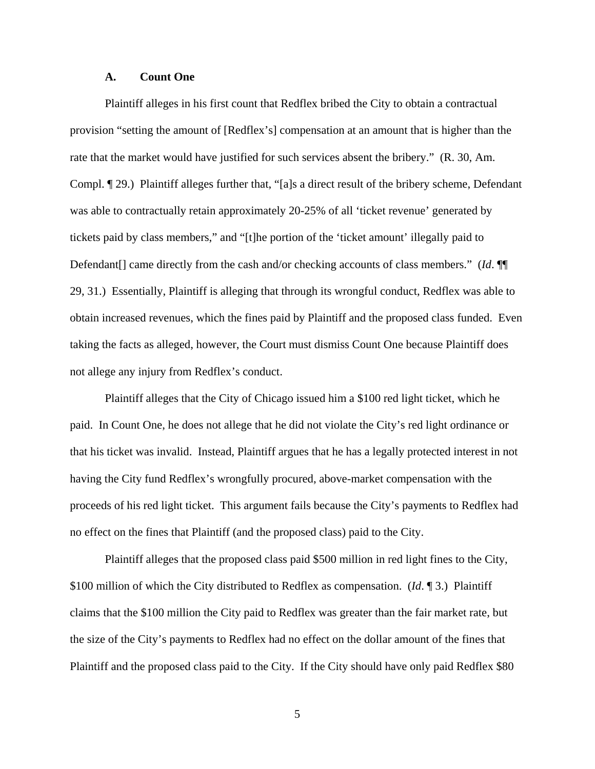# **A. Count One**

Plaintiff alleges in his first count that Redflex bribed the City to obtain a contractual provision "setting the amount of [Redflex's] compensation at an amount that is higher than the rate that the market would have justified for such services absent the bribery." (R. 30, Am. Compl. ¶ 29.) Plaintiff alleges further that, "[a]s a direct result of the bribery scheme, Defendant was able to contractually retain approximately 20-25% of all 'ticket revenue' generated by tickets paid by class members," and "[t]he portion of the 'ticket amount' illegally paid to Defendant<sup>[]</sup> came directly from the cash and/or checking accounts of class members." (*Id*. ¶ 29, 31.) Essentially, Plaintiff is alleging that through its wrongful conduct, Redflex was able to obtain increased revenues, which the fines paid by Plaintiff and the proposed class funded. Even taking the facts as alleged, however, the Court must dismiss Count One because Plaintiff does not allege any injury from Redflex's conduct.

 Plaintiff alleges that the City of Chicago issued him a \$100 red light ticket, which he paid. In Count One, he does not allege that he did not violate the City's red light ordinance or that his ticket was invalid. Instead, Plaintiff argues that he has a legally protected interest in not having the City fund Redflex's wrongfully procured, above-market compensation with the proceeds of his red light ticket. This argument fails because the City's payments to Redflex had no effect on the fines that Plaintiff (and the proposed class) paid to the City.

 Plaintiff alleges that the proposed class paid \$500 million in red light fines to the City, \$100 million of which the City distributed to Redflex as compensation. (*Id*. ¶ 3.) Plaintiff claims that the \$100 million the City paid to Redflex was greater than the fair market rate, but the size of the City's payments to Redflex had no effect on the dollar amount of the fines that Plaintiff and the proposed class paid to the City. If the City should have only paid Redflex \$80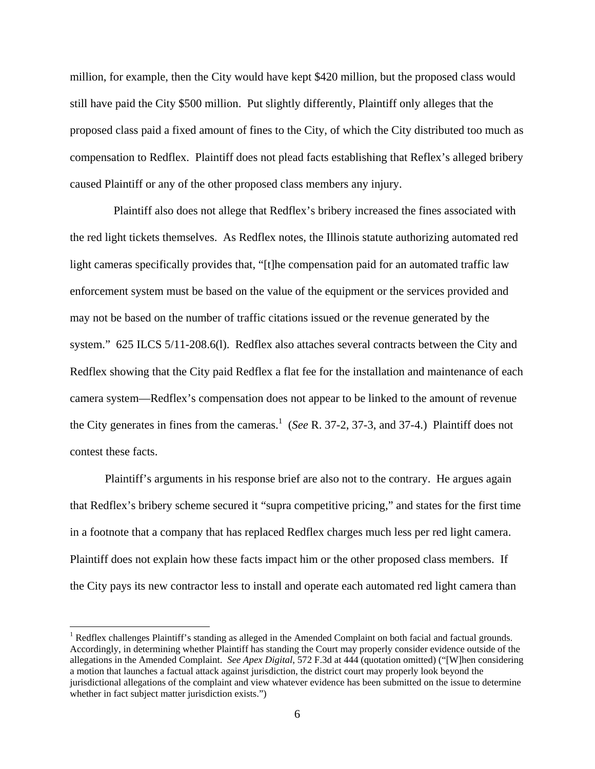million, for example, then the City would have kept \$420 million, but the proposed class would still have paid the City \$500 million. Put slightly differently, Plaintiff only alleges that the proposed class paid a fixed amount of fines to the City, of which the City distributed too much as compensation to Redflex. Plaintiff does not plead facts establishing that Reflex's alleged bribery caused Plaintiff or any of the other proposed class members any injury.

 Plaintiff also does not allege that Redflex's bribery increased the fines associated with the red light tickets themselves. As Redflex notes, the Illinois statute authorizing automated red light cameras specifically provides that, "[t]he compensation paid for an automated traffic law enforcement system must be based on the value of the equipment or the services provided and may not be based on the number of traffic citations issued or the revenue generated by the system." 625 ILCS 5/11-208.6(l). Redflex also attaches several contracts between the City and Redflex showing that the City paid Redflex a flat fee for the installation and maintenance of each camera system—Redflex's compensation does not appear to be linked to the amount of revenue the City generates in fines from the cameras.<sup>1</sup> (*See* R. 37-2, 37-3, and 37-4.) Plaintiff does not contest these facts.

 Plaintiff's arguments in his response brief are also not to the contrary. He argues again that Redflex's bribery scheme secured it "supra competitive pricing," and states for the first time in a footnote that a company that has replaced Redflex charges much less per red light camera. Plaintiff does not explain how these facts impact him or the other proposed class members. If the City pays its new contractor less to install and operate each automated red light camera than

<u>.</u>

<sup>&</sup>lt;sup>1</sup> Redflex challenges Plaintiff's standing as alleged in the Amended Complaint on both facial and factual grounds. Accordingly, in determining whether Plaintiff has standing the Court may properly consider evidence outside of the allegations in the Amended Complaint. *See Apex Digital*, 572 F.3d at 444 (quotation omitted) ("[W]hen considering a motion that launches a factual attack against jurisdiction, the district court may properly look beyond the jurisdictional allegations of the complaint and view whatever evidence has been submitted on the issue to determine whether in fact subject matter jurisdiction exists.")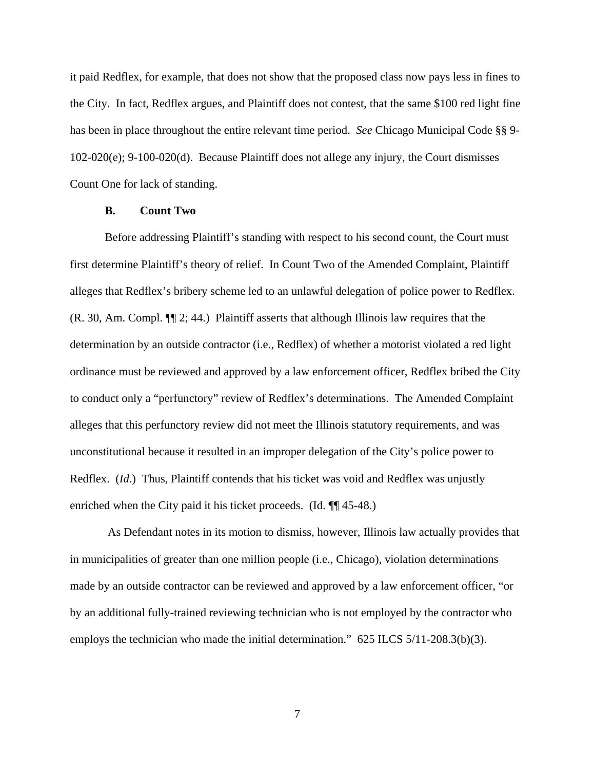it paid Redflex, for example, that does not show that the proposed class now pays less in fines to the City. In fact, Redflex argues, and Plaintiff does not contest, that the same \$100 red light fine has been in place throughout the entire relevant time period. *See* Chicago Municipal Code §§ 9- 102-020(e); 9-100-020(d). Because Plaintiff does not allege any injury, the Court dismisses Count One for lack of standing.

# **B. Count Two**

 Before addressing Plaintiff's standing with respect to his second count, the Court must first determine Plaintiff's theory of relief. In Count Two of the Amended Complaint, Plaintiff alleges that Redflex's bribery scheme led to an unlawful delegation of police power to Redflex. (R. 30, Am. Compl. ¶¶ 2; 44.) Plaintiff asserts that although Illinois law requires that the determination by an outside contractor (i.e., Redflex) of whether a motorist violated a red light ordinance must be reviewed and approved by a law enforcement officer, Redflex bribed the City to conduct only a "perfunctory" review of Redflex's determinations. The Amended Complaint alleges that this perfunctory review did not meet the Illinois statutory requirements, and was unconstitutional because it resulted in an improper delegation of the City's police power to Redflex. (*Id*.) Thus, Plaintiff contends that his ticket was void and Redflex was unjustly enriched when the City paid it his ticket proceeds. (Id.  $\P$  45-48.)

 As Defendant notes in its motion to dismiss, however, Illinois law actually provides that in municipalities of greater than one million people (i.e., Chicago), violation determinations made by an outside contractor can be reviewed and approved by a law enforcement officer, "or by an additional fully-trained reviewing technician who is not employed by the contractor who employs the technician who made the initial determination." 625 ILCS 5/11-208.3(b)(3).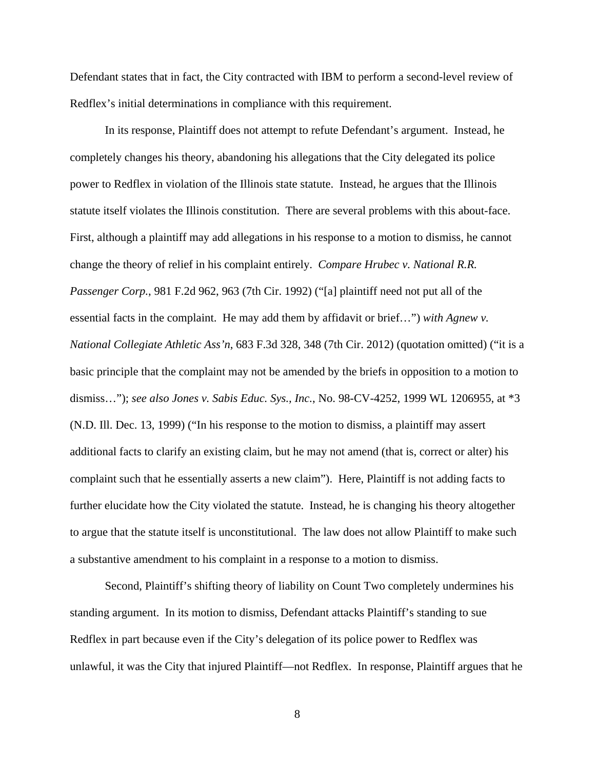Defendant states that in fact, the City contracted with IBM to perform a second-level review of Redflex's initial determinations in compliance with this requirement.

 In its response, Plaintiff does not attempt to refute Defendant's argument. Instead, he completely changes his theory, abandoning his allegations that the City delegated its police power to Redflex in violation of the Illinois state statute. Instead, he argues that the Illinois statute itself violates the Illinois constitution. There are several problems with this about-face. First, although a plaintiff may add allegations in his response to a motion to dismiss, he cannot change the theory of relief in his complaint entirely. *Compare Hrubec v. National R.R. Passenger Corp.*, 981 F.2d 962, 963 (7th Cir. 1992) ("[a] plaintiff need not put all of the essential facts in the complaint. He may add them by affidavit or brief…") *with Agnew v. National Collegiate Athletic Ass'n*, 683 F.3d 328, 348 (7th Cir. 2012) (quotation omitted) ("it is a basic principle that the complaint may not be amended by the briefs in opposition to a motion to dismiss…"); *see also Jones v. Sabis Educ. Sys., Inc.*, No. 98-CV-4252, 1999 WL 1206955, at \*3 (N.D. Ill. Dec. 13, 1999) ("In his response to the motion to dismiss, a plaintiff may assert additional facts to clarify an existing claim, but he may not amend (that is, correct or alter) his complaint such that he essentially asserts a new claim"). Here, Plaintiff is not adding facts to further elucidate how the City violated the statute. Instead, he is changing his theory altogether to argue that the statute itself is unconstitutional. The law does not allow Plaintiff to make such a substantive amendment to his complaint in a response to a motion to dismiss.

 Second, Plaintiff's shifting theory of liability on Count Two completely undermines his standing argument. In its motion to dismiss, Defendant attacks Plaintiff's standing to sue Redflex in part because even if the City's delegation of its police power to Redflex was unlawful, it was the City that injured Plaintiff—not Redflex. In response, Plaintiff argues that he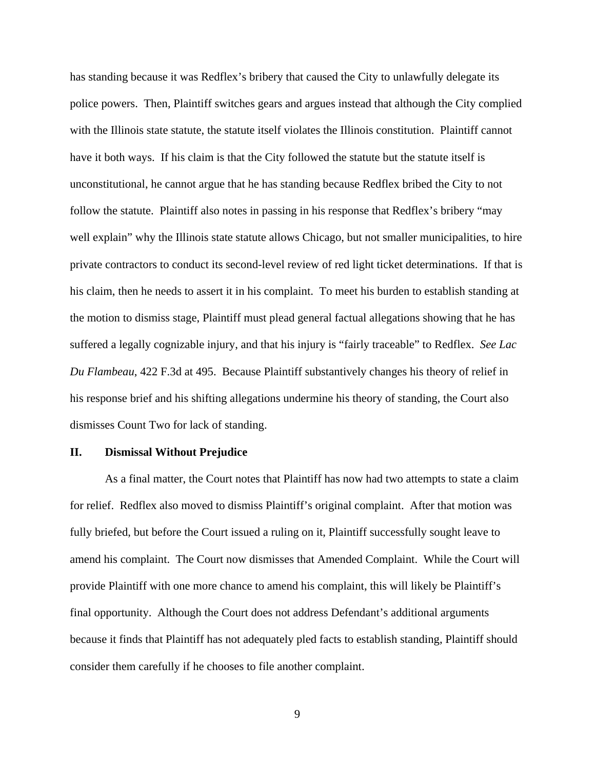has standing because it was Redflex's bribery that caused the City to unlawfully delegate its police powers. Then, Plaintiff switches gears and argues instead that although the City complied with the Illinois state statute, the statute itself violates the Illinois constitution. Plaintiff cannot have it both ways. If his claim is that the City followed the statute but the statute itself is unconstitutional, he cannot argue that he has standing because Redflex bribed the City to not follow the statute. Plaintiff also notes in passing in his response that Redflex's bribery "may well explain" why the Illinois state statute allows Chicago, but not smaller municipalities, to hire private contractors to conduct its second-level review of red light ticket determinations. If that is his claim, then he needs to assert it in his complaint. To meet his burden to establish standing at the motion to dismiss stage, Plaintiff must plead general factual allegations showing that he has suffered a legally cognizable injury, and that his injury is "fairly traceable" to Redflex. *See Lac Du Flambeau*, 422 F.3d at 495. Because Plaintiff substantively changes his theory of relief in his response brief and his shifting allegations undermine his theory of standing, the Court also dismisses Count Two for lack of standing.

### **II. Dismissal Without Prejudice**

 As a final matter, the Court notes that Plaintiff has now had two attempts to state a claim for relief. Redflex also moved to dismiss Plaintiff's original complaint. After that motion was fully briefed, but before the Court issued a ruling on it, Plaintiff successfully sought leave to amend his complaint. The Court now dismisses that Amended Complaint. While the Court will provide Plaintiff with one more chance to amend his complaint, this will likely be Plaintiff's final opportunity. Although the Court does not address Defendant's additional arguments because it finds that Plaintiff has not adequately pled facts to establish standing, Plaintiff should consider them carefully if he chooses to file another complaint.